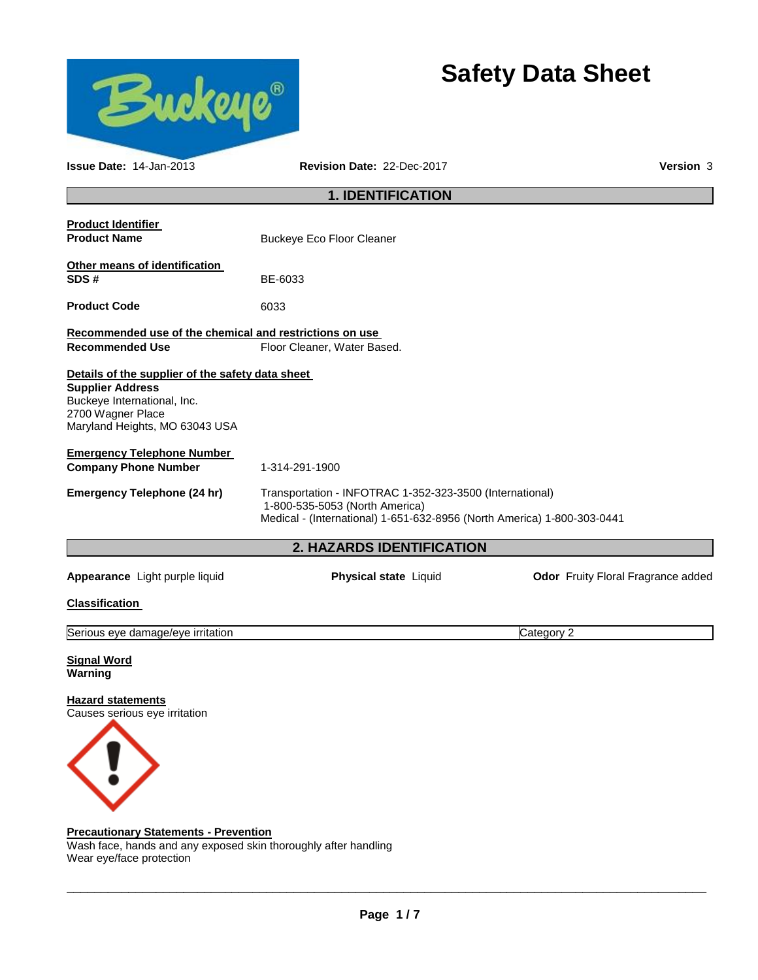

# **Safety Data Sheet**

| <b>Issue Date: 14-Jan-2013</b>                                                                                                                                    | <b>Revision Date: 22-Dec-2017</b>                                                                                                                                     |            |  |  |  |  |
|-------------------------------------------------------------------------------------------------------------------------------------------------------------------|-----------------------------------------------------------------------------------------------------------------------------------------------------------------------|------------|--|--|--|--|
| <b>1. IDENTIFICATION</b>                                                                                                                                          |                                                                                                                                                                       |            |  |  |  |  |
| <b>Product Identifier</b><br><b>Product Name</b>                                                                                                                  | <b>Buckeye Eco Floor Cleaner</b>                                                                                                                                      |            |  |  |  |  |
| Other means of identification<br>SDS#                                                                                                                             | BE-6033                                                                                                                                                               |            |  |  |  |  |
| <b>Product Code</b>                                                                                                                                               | 6033                                                                                                                                                                  |            |  |  |  |  |
| Recommended use of the chemical and restrictions on use<br><b>Recommended Use</b>                                                                                 | Floor Cleaner, Water Based.                                                                                                                                           |            |  |  |  |  |
| Details of the supplier of the safety data sheet<br><b>Supplier Address</b><br>Buckeye International, Inc.<br>2700 Wagner Place<br>Maryland Heights, MO 63043 USA |                                                                                                                                                                       |            |  |  |  |  |
| <b>Emergency Telephone Number</b><br><b>Company Phone Number</b>                                                                                                  | 1-314-291-1900                                                                                                                                                        |            |  |  |  |  |
| <b>Emergency Telephone (24 hr)</b>                                                                                                                                | Transportation - INFOTRAC 1-352-323-3500 (International)<br>1-800-535-5053 (North America)<br>Medical - (International) 1-651-632-8956 (North America) 1-800-303-0441 |            |  |  |  |  |
|                                                                                                                                                                   | 2. HAZARDS IDENTIFICATION                                                                                                                                             |            |  |  |  |  |
| Odor Fruity Floral Fragrance added<br>Appearance Light purple liquid<br>Physical state Liquid                                                                     |                                                                                                                                                                       |            |  |  |  |  |
| <b>Classification</b>                                                                                                                                             |                                                                                                                                                                       |            |  |  |  |  |
| Serious eye damage/eye irritation                                                                                                                                 |                                                                                                                                                                       | Category 2 |  |  |  |  |
| <b>Signal Word</b><br>Warning                                                                                                                                     |                                                                                                                                                                       |            |  |  |  |  |
| Hazard statements<br>Causes serious eye irritation                                                                                                                |                                                                                                                                                                       |            |  |  |  |  |

#### **Precautionary Statements - Prevention**

Wash face, hands and any exposed skin thoroughly after handling Wear eye/face protection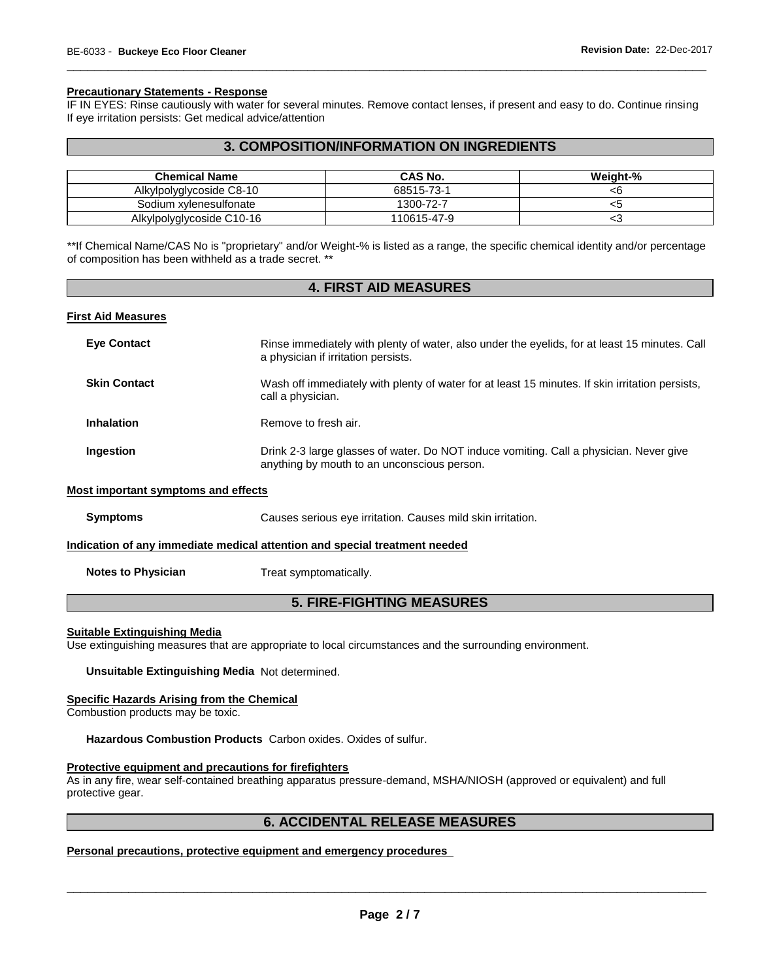#### **Precautionary Statements - Response**

IF IN EYES: Rinse cautiously with water for several minutes. Remove contact lenses, if present and easy to do. Continue rinsing If eye irritation persists: Get medical advice/attention

\_\_\_\_\_\_\_\_\_\_\_\_\_\_\_\_\_\_\_\_\_\_\_\_\_\_\_\_\_\_\_\_\_\_\_\_\_\_\_\_\_\_\_\_\_\_\_\_\_\_\_\_\_\_\_\_\_\_\_\_\_\_\_\_\_\_\_\_\_\_\_\_\_\_\_\_\_\_\_\_\_\_\_\_\_\_\_\_\_\_\_\_\_

## **3. COMPOSITION/INFORMATION ON INGREDIENTS**

| <b>Chemical Name</b>      | CAS No.     | Weight-% |
|---------------------------|-------------|----------|
| Alkylpolyglycoside C8-10  | 68515-73-1  | ⊲b       |
| Sodium xylenesulfonate    | 1300-72-7   | ننڪ      |
| Alkylpolyglycoside C10-16 | 110615-47-9 | ∽∼       |

\*\*If Chemical Name/CAS No is "proprietary" and/or Weight-% is listed as a range, the specific chemical identity and/or percentage of composition has been withheld as a trade secret. \*\*

# **4. FIRST AID MEASURES**

#### **First Aid Measures**

| <b>Eve Contact</b>                  | Rinse immediately with plenty of water, also under the eyelids, for at least 15 minutes. Call<br>a physician if irritation persists.  |
|-------------------------------------|---------------------------------------------------------------------------------------------------------------------------------------|
| <b>Skin Contact</b>                 | Wash off immediately with plenty of water for at least 15 minutes. If skin irritation persists,<br>call a physician.                  |
| <b>Inhalation</b>                   | Remove to fresh air.                                                                                                                  |
| <b>Ingestion</b>                    | Drink 2-3 large glasses of water. Do NOT induce vomiting. Call a physician. Never give<br>anything by mouth to an unconscious person. |
| Most important symptoms and effects |                                                                                                                                       |
| <b>Symptoms</b>                     | Causes serious eye irritation. Causes mild skin irritation.                                                                           |
|                                     | Indication of any immediate medical attention and special treatment needed                                                            |

**Notes to Physician**  Treat symptomatically.

### **5. FIRE-FIGHTING MEASURES**

#### **Suitable Extinguishing Media**

Use extinguishing measures that are appropriate to local circumstances and the surrounding environment.

**Unsuitable Extinguishing Media** Not determined.

#### **Specific Hazards Arising from the Chemical**

Combustion products may be toxic.

**Hazardous Combustion Products** Carbon oxides. Oxides of sulfur.

#### **Protective equipment and precautions for firefighters**

As in any fire, wear self-contained breathing apparatus pressure-demand, MSHA/NIOSH (approved or equivalent) and full protective gear.

#### **6. ACCIDENTAL RELEASE MEASURES**

#### **Personal precautions, protective equipment and emergency procedures**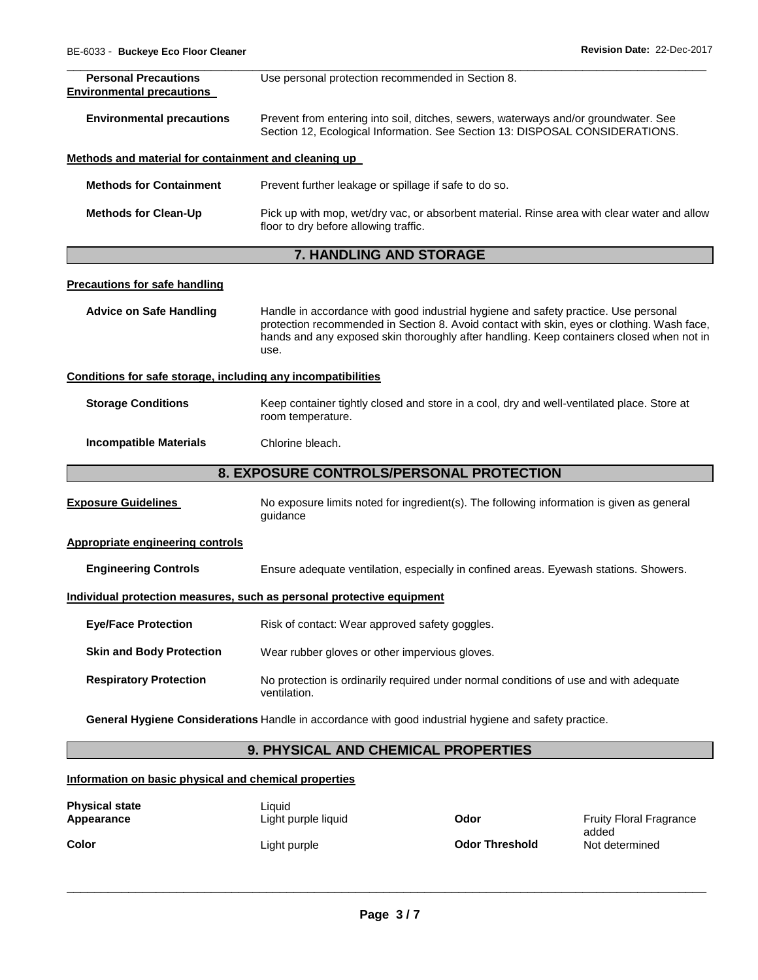| <b>Personal Precautions</b>                                  | Use personal protection recommended in Section 8.                                                                                                                                                                                                                                     |  |  |  |  |
|--------------------------------------------------------------|---------------------------------------------------------------------------------------------------------------------------------------------------------------------------------------------------------------------------------------------------------------------------------------|--|--|--|--|
| <b>Environmental precautions</b>                             |                                                                                                                                                                                                                                                                                       |  |  |  |  |
| <b>Environmental precautions</b>                             | Prevent from entering into soil, ditches, sewers, waterways and/or groundwater. See<br>Section 12, Ecological Information. See Section 13: DISPOSAL CONSIDERATIONS.                                                                                                                   |  |  |  |  |
| Methods and material for containment and cleaning up         |                                                                                                                                                                                                                                                                                       |  |  |  |  |
| <b>Methods for Containment</b>                               | Prevent further leakage or spillage if safe to do so.                                                                                                                                                                                                                                 |  |  |  |  |
| <b>Methods for Clean-Up</b>                                  | Pick up with mop, wet/dry vac, or absorbent material. Rinse area with clear water and allow<br>floor to dry before allowing traffic.                                                                                                                                                  |  |  |  |  |
|                                                              | <b>7. HANDLING AND STORAGE</b>                                                                                                                                                                                                                                                        |  |  |  |  |
| <b>Precautions for safe handling</b>                         |                                                                                                                                                                                                                                                                                       |  |  |  |  |
| <b>Advice on Safe Handling</b>                               | Handle in accordance with good industrial hygiene and safety practice. Use personal<br>protection recommended in Section 8. Avoid contact with skin, eyes or clothing. Wash face,<br>hands and any exposed skin thoroughly after handling. Keep containers closed when not in<br>use. |  |  |  |  |
| Conditions for safe storage, including any incompatibilities |                                                                                                                                                                                                                                                                                       |  |  |  |  |
| <b>Storage Conditions</b>                                    | Keep container tightly closed and store in a cool, dry and well-ventilated place. Store at<br>room temperature.                                                                                                                                                                       |  |  |  |  |
| <b>Incompatible Materials</b>                                | Chlorine bleach.                                                                                                                                                                                                                                                                      |  |  |  |  |
|                                                              | 8. EXPOSURE CONTROLS/PERSONAL PROTECTION                                                                                                                                                                                                                                              |  |  |  |  |
| <b>Exposure Guidelines</b>                                   | No exposure limits noted for ingredient(s). The following information is given as general<br>quidance                                                                                                                                                                                 |  |  |  |  |
| <b>Appropriate engineering controls</b>                      |                                                                                                                                                                                                                                                                                       |  |  |  |  |
| <b>Engineering Controls</b>                                  | Ensure adequate ventilation, especially in confined areas. Eyewash stations. Showers.                                                                                                                                                                                                 |  |  |  |  |
|                                                              | Individual protection measures, such as personal protective equipment                                                                                                                                                                                                                 |  |  |  |  |
| <b>Eye/Face Protection</b>                                   | Risk of contact: Wear approved safety goggles.                                                                                                                                                                                                                                        |  |  |  |  |
| <b>Skin and Body Protection</b>                              | Wear rubber gloves or other impervious gloves.                                                                                                                                                                                                                                        |  |  |  |  |
| <b>Respiratory Protection</b>                                | No protection is ordinarily required under normal conditions of use and with adequate<br>ventilation.                                                                                                                                                                                 |  |  |  |  |
|                                                              | General Hygiene Considerations Handle in accordance with good industrial hygiene and safety practice.                                                                                                                                                                                 |  |  |  |  |
|                                                              | 9. PHYSICAL AND CHEMICAL PROPERTIES                                                                                                                                                                                                                                                   |  |  |  |  |

### **Information on basic physical and chemical properties**

| <b>Physical state</b> | Liauid              | Odor                  | <b>Fruity Floral Fragrance</b> |
|-----------------------|---------------------|-----------------------|--------------------------------|
| Appearance            | Light purple liquid |                       | added                          |
| Color                 | Light purple        | <b>Odor Threshold</b> | Not determined                 |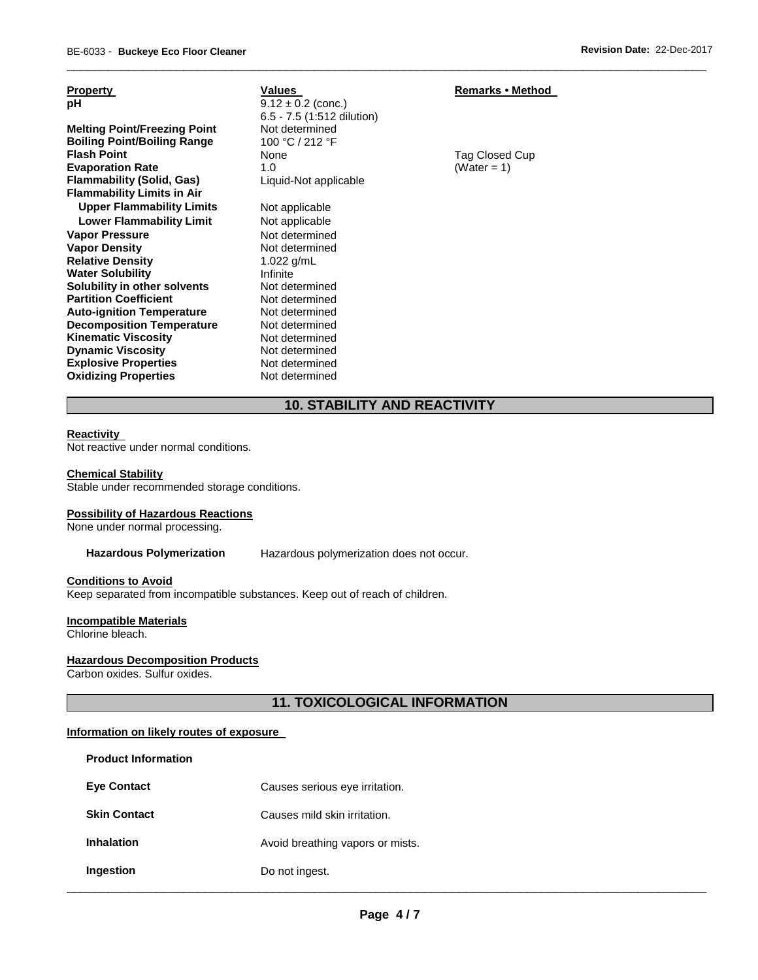| <b>Property</b><br>рH<br><b>Melting Point/Freezing Point</b><br><b>Boiling Point/Boiling Range</b>                                                                                                                           | Values<br>$9.12 \pm 0.2$ (conc.)<br>6.5 - 7.5 (1:512 dilution)<br>Not determined<br>100 °C / 212 °F                        | <b>Remarks • Method</b>       |
|------------------------------------------------------------------------------------------------------------------------------------------------------------------------------------------------------------------------------|----------------------------------------------------------------------------------------------------------------------------|-------------------------------|
| <b>Flash Point</b><br><b>Evaporation Rate</b><br><b>Flammability (Solid, Gas)</b><br><b>Flammability Limits in Air</b>                                                                                                       | <b>None</b><br>1.0<br>Liquid-Not applicable                                                                                | Tag Closed Cup<br>(Water = 1) |
| <b>Upper Flammability Limits</b><br><b>Lower Flammability Limit</b><br><b>Vapor Pressure</b><br><b>Vapor Density</b><br><b>Relative Density</b><br><b>Water Solubility</b><br>Solubility in other solvents                   | Not applicable<br>Not applicable<br>Not determined<br>Not determined<br>1.022 $g/mL$<br>Infinite<br>Not determined         |                               |
| <b>Partition Coefficient</b><br><b>Auto-ignition Temperature</b><br><b>Decomposition Temperature</b><br><b>Kinematic Viscosity</b><br><b>Dynamic Viscosity</b><br><b>Explosive Properties</b><br><b>Oxidizing Properties</b> | Not determined<br>Not determined<br>Not determined<br>Not determined<br>Not determined<br>Not determined<br>Not determined |                               |

# **10. STABILITY AND REACTIVITY**

\_\_\_\_\_\_\_\_\_\_\_\_\_\_\_\_\_\_\_\_\_\_\_\_\_\_\_\_\_\_\_\_\_\_\_\_\_\_\_\_\_\_\_\_\_\_\_\_\_\_\_\_\_\_\_\_\_\_\_\_\_\_\_\_\_\_\_\_\_\_\_\_\_\_\_\_\_\_\_\_\_\_\_\_\_\_\_\_\_\_\_\_\_

#### **Reactivity**

Not reactive under normal conditions.

#### **Chemical Stability**

Stable under recommended storage conditions.

#### **Possibility of Hazardous Reactions**

None under normal processing.

**Hazardous Polymerization** Hazardous polymerization does not occur.

#### **Conditions to Avoid**

Keep separated from incompatible substances. Keep out of reach of children.

# **Incompatible Materials**

Chlorine bleach.

#### **Hazardous Decomposition Products**

Carbon oxides. Sulfur oxides.

# **11. TOXICOLOGICAL INFORMATION**

#### **Information on likely routes of exposure**

| <b>Product Information</b> |                                  |
|----------------------------|----------------------------------|
| <b>Eve Contact</b>         | Causes serious eye irritation.   |
| <b>Skin Contact</b>        | Causes mild skin irritation.     |
| <b>Inhalation</b>          | Avoid breathing vapors or mists. |
| Ingestion                  | Do not ingest.                   |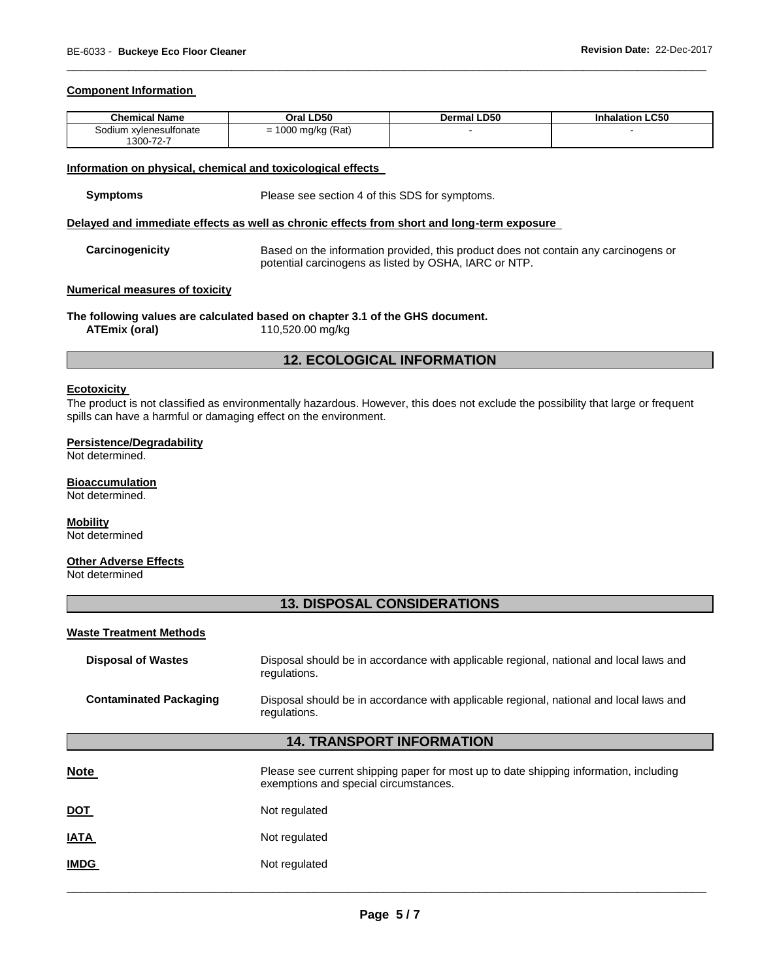#### **Component Information**

| <b>Chemical Name</b>                     | .D50<br>Oral '        | Dermal LD50 | LC50<br><b>Inhalation</b> |
|------------------------------------------|-----------------------|-------------|---------------------------|
| .odium<br>า xvlenesulfonate<br>1300-72-7 | 1000 mg/kg (Rat)<br>- |             |                           |

\_\_\_\_\_\_\_\_\_\_\_\_\_\_\_\_\_\_\_\_\_\_\_\_\_\_\_\_\_\_\_\_\_\_\_\_\_\_\_\_\_\_\_\_\_\_\_\_\_\_\_\_\_\_\_\_\_\_\_\_\_\_\_\_\_\_\_\_\_\_\_\_\_\_\_\_\_\_\_\_\_\_\_\_\_\_\_\_\_\_\_\_\_

#### **Information on physical, chemical and toxicological effects**

| Symptoms | Please see section 4 of this SDS for symptoms. |
|----------|------------------------------------------------|
|----------|------------------------------------------------|

#### **Delayed and immediate effects as well as chronic effects from short and long-term exposure**

**Carcinogenicity** Based on the information provided, this product does not contain any carcinogens or potential carcinogens as listed by OSHA, IARC or NTP.

#### **Numerical measures of toxicity**

**The following values are calculated based on chapter 3.1 of the GHS document. ATEmix (oral)** 110,520.00 mg/kg

#### **12. ECOLOGICAL INFORMATION**

#### **Ecotoxicity**

The product is not classified as environmentally hazardous. However, this does not exclude the possibility that large or frequent spills can have a harmful or damaging effect on the environment.

#### **Persistence/Degradability**

Not determined.

#### **Bioaccumulation**

Not determined.

# **Mobility**

Not determined

#### **Other Adverse Effects**

Not determined

### **13. DISPOSAL CONSIDERATIONS**

#### **Waste Treatment Methods**

| <b>Disposal of Wastes</b>     | Disposal should be in accordance with applicable regional, national and local laws and<br>regulations. |
|-------------------------------|--------------------------------------------------------------------------------------------------------|
| <b>Contaminated Packaging</b> | Disposal should be in accordance with applicable regional, national and local laws and<br>regulations. |

#### **14. TRANSPORT INFORMATION**

| <b>Note</b> | Please see current shipping paper for most up to date shipping information, including<br>exemptions and special circumstances. |
|-------------|--------------------------------------------------------------------------------------------------------------------------------|
| <b>DOT</b>  | Not regulated                                                                                                                  |
| <b>IATA</b> | Not regulated                                                                                                                  |
| <b>IMDG</b> | Not regulated                                                                                                                  |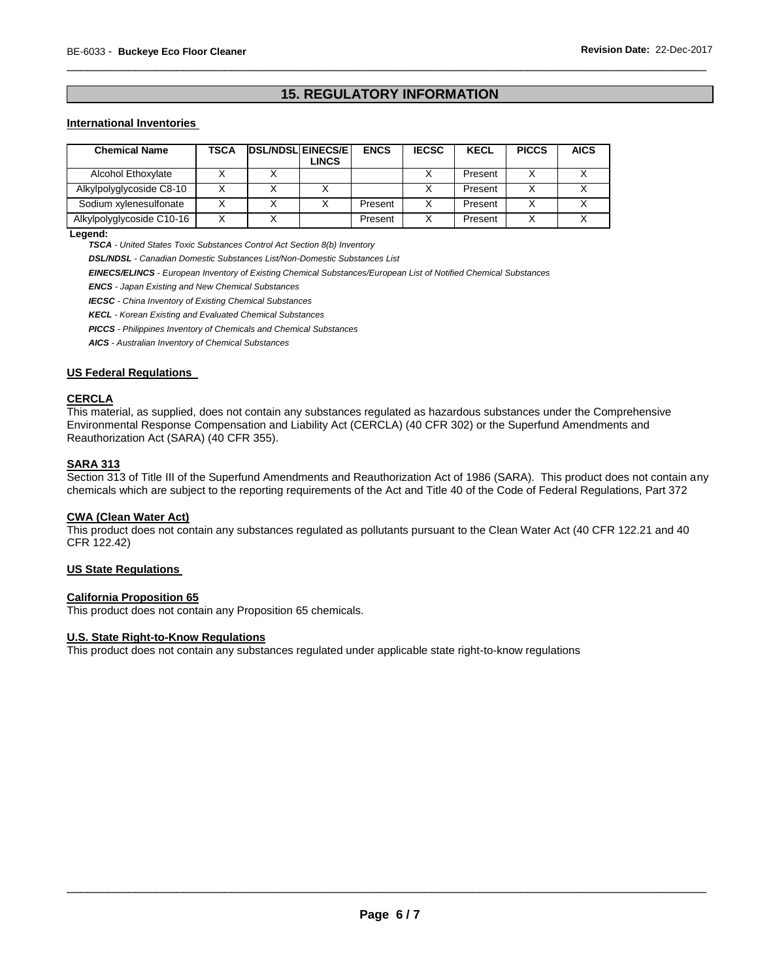# **15. REGULATORY INFORMATION**

\_\_\_\_\_\_\_\_\_\_\_\_\_\_\_\_\_\_\_\_\_\_\_\_\_\_\_\_\_\_\_\_\_\_\_\_\_\_\_\_\_\_\_\_\_\_\_\_\_\_\_\_\_\_\_\_\_\_\_\_\_\_\_\_\_\_\_\_\_\_\_\_\_\_\_\_\_\_\_\_\_\_\_\_\_\_\_\_\_\_\_\_\_

#### **International Inventories**

| <b>Chemical Name</b>      | TSCA | <b>DSL/NDSL EINECS/E</b> | LINCS | <b>ENCS</b> | <b>IECSC</b> | <b>KECL</b> | <b>PICCS</b> | <b>AICS</b> |
|---------------------------|------|--------------------------|-------|-------------|--------------|-------------|--------------|-------------|
| Alcohol Ethoxylate        |      |                          |       |             |              | Present     |              |             |
| Alkylpolyglycoside C8-10  |      |                          |       |             |              | Present     |              |             |
| Sodium xylenesulfonate    |      |                          |       | Present     |              | Present     |              |             |
| Alkylpolyglycoside C10-16 |      |                          |       | Present     |              | Present     |              |             |

**Legend:** 

*TSCA - United States Toxic Substances Control Act Section 8(b) Inventory* 

*DSL/NDSL - Canadian Domestic Substances List/Non-Domestic Substances List* 

*EINECS/ELINCS - European Inventory of Existing Chemical Substances/European List of Notified Chemical Substances* 

*ENCS - Japan Existing and New Chemical Substances* 

*IECSC - China Inventory of Existing Chemical Substances* 

*KECL - Korean Existing and Evaluated Chemical Substances* 

*PICCS - Philippines Inventory of Chemicals and Chemical Substances* 

*AICS - Australian Inventory of Chemical Substances* 

#### **US Federal Regulations**

#### **CERCLA**

This material, as supplied, does not contain any substances regulated as hazardous substances under the Comprehensive Environmental Response Compensation and Liability Act (CERCLA) (40 CFR 302) or the Superfund Amendments and Reauthorization Act (SARA) (40 CFR 355).

#### **SARA 313**

Section 313 of Title III of the Superfund Amendments and Reauthorization Act of 1986 (SARA). This product does not contain any chemicals which are subject to the reporting requirements of the Act and Title 40 of the Code of Federal Regulations, Part 372

#### **CWA (Clean Water Act)**

This product does not contain any substances regulated as pollutants pursuant to the Clean Water Act (40 CFR 122.21 and 40 CFR 122.42)

#### **US State Regulations**

#### **California Proposition 65**

This product does not contain any Proposition 65 chemicals.

#### **U.S. State Right-to-Know Regulations**

This product does not contain any substances regulated under applicable state right-to-know regulations